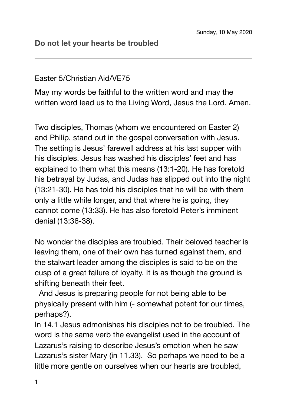## Easter 5/Christian Aid/VE75

May my words be faithful to the written word and may the written word lead us to the Living Word, Jesus the Lord. Amen.

Two disciples, Thomas (whom we encountered on Easter 2) and Philip, stand out in the gospel conversation with Jesus. The setting is Jesus' farewell address at his last supper with his disciples. Jesus has washed his disciples' feet and has explained to them what this means (13:1-20). He has foretold his betrayal by Judas, and Judas has slipped out into the night (13:21-30). He has told his disciples that he will be with them only a little while longer, and that where he is going, they cannot come (13:33). He has also foretold Peter's imminent denial (13:36-38).

No wonder the disciples are troubled. Their beloved teacher is leaving them, one of their own has turned against them, and the stalwart leader among the disciples is said to be on the cusp of a great failure of loyalty. It is as though the ground is shifting beneath their feet.

 And Jesus is preparing people for not being able to be physically present with him (- somewhat potent for our times, perhaps?).

In 14.1 Jesus admonishes his disciples not to be troubled. The word is the same verb the evangelist used in the account of Lazarus's raising to describe Jesus's emotion when he saw Lazarus's sister Mary (in 11.33). So perhaps we need to be a little more gentle on ourselves when our hearts are troubled,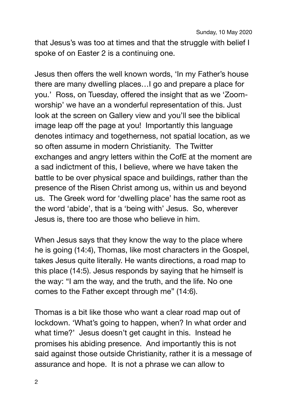that Jesus's was too at times and that the struggle with belief I spoke of on Easter 2 is a continuing one.

Jesus then offers the well known words, 'In my Father's house there are many dwelling places…I go and prepare a place for you.' Ross, on Tuesday, offered the insight that as we 'Zoomworship' we have an a wonderful representation of this. Just look at the screen on Gallery view and you'll see the biblical image leap off the page at you! Importantly this language denotes intimacy and togetherness, not spatial location, as we so often assume in modern Christianity. The Twitter exchanges and angry letters within the CofE at the moment are a sad indictment of this, I believe, where we have taken the battle to be over physical space and buildings, rather than the presence of the Risen Christ among us, within us and beyond us. The Greek word for 'dwelling place' has the same root as the word 'abide', that is a 'being with' Jesus. So, wherever Jesus is, there too are those who believe in him.

When Jesus says that they know the way to the place where he is going (14:4), Thomas, like most characters in the Gospel, takes Jesus quite literally. He wants directions, a road map to this place (14:5). Jesus responds by saying that he himself is the way: "I am the way, and the truth, and the life. No one comes to the Father except through me" (14:6).

Thomas is a bit like those who want a clear road map out of lockdown. 'What's going to happen, when? In what order and what time?' Jesus doesn't get caught in this. Instead he promises his abiding presence. And importantly this is not said against those outside Christianity, rather it is a message of assurance and hope. It is not a phrase we can allow to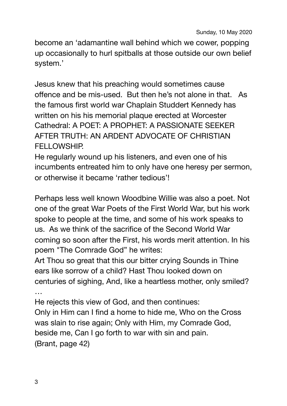become an 'adamantine wall behind which we cower, popping up occasionally to hurl spitballs at those outside our own belief system.'

Jesus knew that his preaching would sometimes cause offence and be mis-used. But then he's not alone in that. As the famous first world war Chaplain Studdert Kennedy has written on his his memorial plaque erected at Worcester Cathedral: A POET: A PROPHET: A PASSIONATE SEEKER AFTER TRUTH: AN ARDENT ADVOCATE OF CHRISTIAN FELLOWSHIP.

He regularly wound up his listeners, and even one of his incumbents entreated him to only have one heresy per sermon, or otherwise it became 'rather tedious'!

Perhaps less well known Woodbine Willie was also a poet. Not one of the great War Poets of the First World War, but his work spoke to people at the time, and some of his work speaks to us. As we think of the sacrifice of the Second World War coming so soon after the First, his words merit attention. In his poem "The Comrade God" he writes:

Art Thou so great that this our bitter crying Sounds in Thine ears like sorrow of a child? Hast Thou looked down on centuries of sighing, And, like a heartless mother, only smiled? …

He rejects this view of God, and then continues:

Only in Him can I find a home to hide me, Who on the Cross was slain to rise again; Only with Him, my Comrade God, beside me, Can I go forth to war with sin and pain. (Brant, page 42)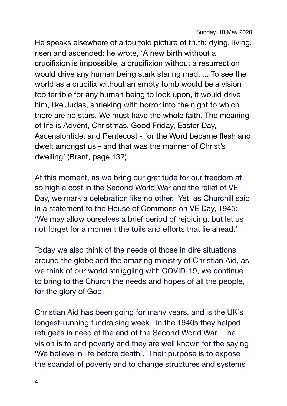Sunday, 10 May 2020

He speaks elsewhere of a fourfold picture of truth: dying, living, risen and ascended: he wrote, 'A new birth without a crucifixion is impossible, a crucifixion without a resurrection would drive any human being stark staring mad. ... To see the world as a crucifix without an empty tomb would be a vision too terrible for any human being to look upon, it would drive him, like Judas, shrieking with horror into the night to which there are no stars. We must have the whole faith. The meaning of life is Advent, Christmas, Good Friday, Easter Day, Ascensiontide, and Pentecost - for the Word became flesh and dwelt amongst us - and that was the manner of Christ's dwelling' (Brant, page 132).

At this moment, as we bring our gratitude for our freedom at so high a cost in the Second World War and the relief of VE Day, we mark a celebration like no other. Yet, as Churchill said in a statement to the House of Commons on VE Day, 1945: 'We may allow ourselves a brief period of rejoicing, but let us not forget for a moment the toils and efforts that lie ahead.'

Today we also think of the needs of those in dire situations around the globe and the amazing ministry of Christian Aid, as we think of our world struggling with COVID-19, we continue to bring to the Church the needs and hopes of all the people, for the glory of God.

Christian Aid has been going for many years, and is the UK's longest-running fundraising week. In the 1940s they helped refugees in need at the end of the Second World War. The vision is to end poverty and they are well known for the saying 'We believe in life before death'. Their purpose is to expose the scandal of poverty and to change structures and systems